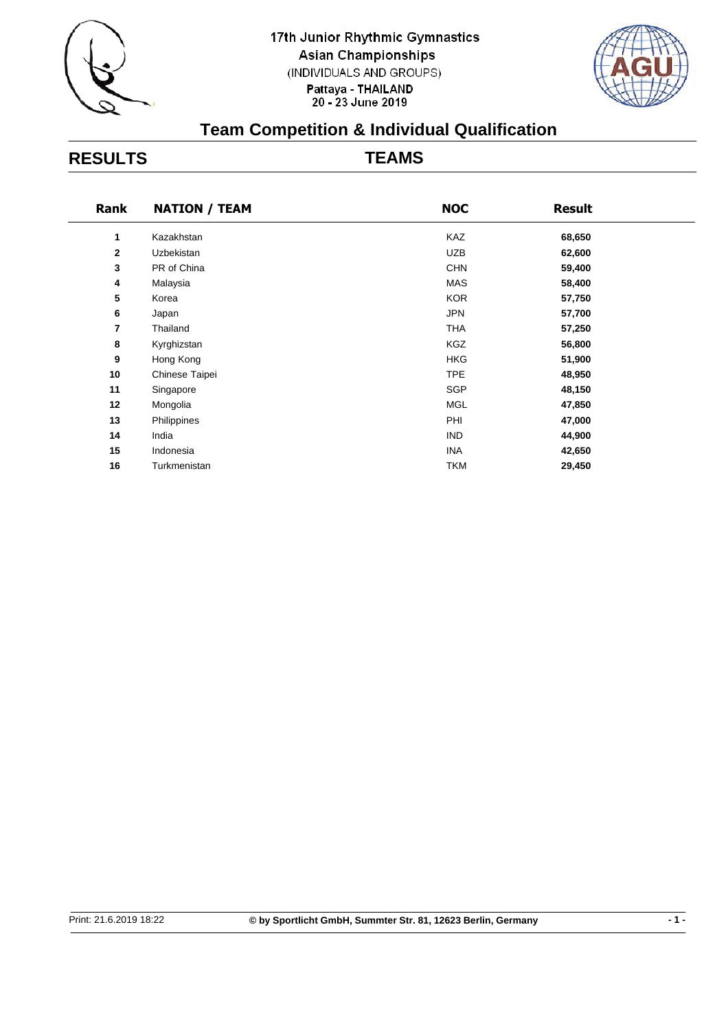



## **Team Competition & Individual Qualification**

## **RESULTS TEAMS**

| <b>NATION / TEAM</b> | <b>NOC</b> | <b>Result</b> |  |
|----------------------|------------|---------------|--|
| Kazakhstan           | <b>KAZ</b> | 68,650        |  |
| Uzbekistan           | <b>UZB</b> | 62,600        |  |
| PR of China          | <b>CHN</b> | 59,400        |  |
| Malaysia             | <b>MAS</b> | 58,400        |  |
| Korea                | <b>KOR</b> | 57,750        |  |
| Japan                | <b>JPN</b> | 57,700        |  |
| Thailand             | <b>THA</b> | 57,250        |  |
| Kyrghizstan          | <b>KGZ</b> | 56,800        |  |
| Hong Kong            | <b>HKG</b> | 51,900        |  |
| Chinese Taipei       | <b>TPE</b> | 48,950        |  |
| Singapore            | <b>SGP</b> | 48,150        |  |
| Mongolia             | <b>MGL</b> | 47,850        |  |
| Philippines          | PHI        | 47,000        |  |
| India                | <b>IND</b> | 44,900        |  |
| Indonesia            | <b>INA</b> | 42,650        |  |
| Turkmenistan         | <b>TKM</b> | 29,450        |  |
|                      |            |               |  |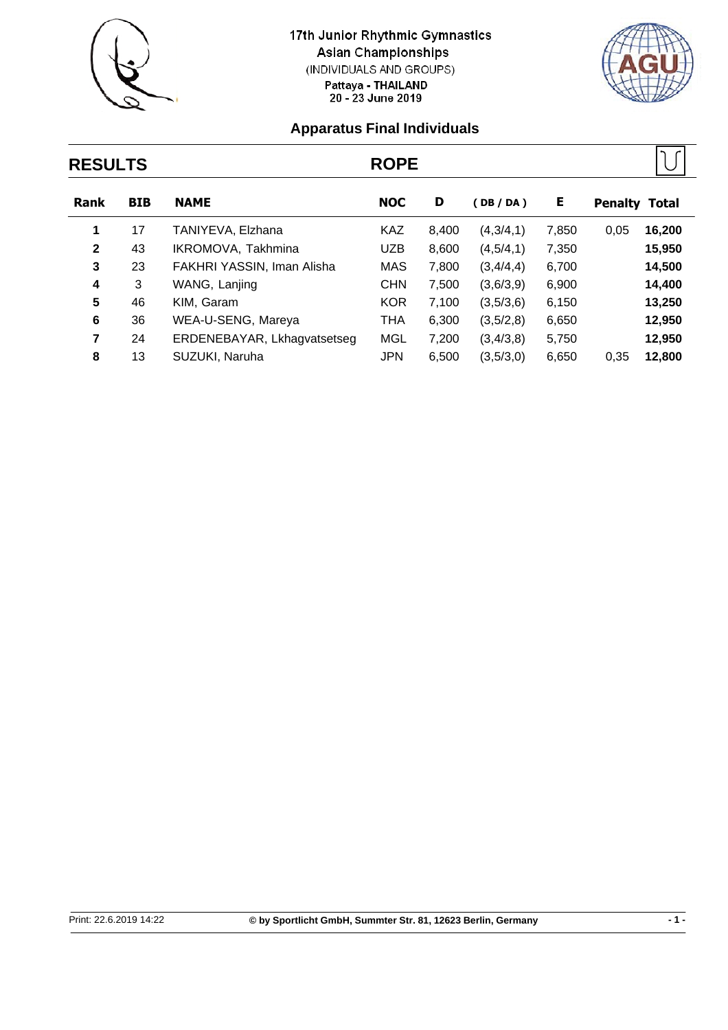



## **RESULTS ROPE Rank BIB NAME NOC D ( DB / DA ) E Penalty Total 1** 17 TANIYEVA, Elzhana KAZ 8,400 (4,3/4,1) 7,850 0,05 **16,200 2** 43 IKROMOVA, Takhmina UZB 8,600 (4,5/4,1) 7,350 **15,950 3** 23 FAKHRI YASSIN, Iman Alisha MAS 7,800 (3,4/4,4) 6,700 **14,500 4** 3 WANG, Lanjing CHN 7,500 (3,6/3,9) 6,900 **14,400 5** 46 KIM, Garam KOR 7,100 (3,5/3,6) 6,150 **13,250 6** 36 WEA-U-SENG, Mareya THA 6,300 (3,5/2,8) 6,650 **12,950 7** 24 ERDENEBAYAR, Lkhagvatsetseg MGL 7,200 (3,4/3,8) 5,750 **12,950 8** 13 SUZUKI, Naruha JPN 6,500 (3,5/3,0) 6,650 0,35 **12,800**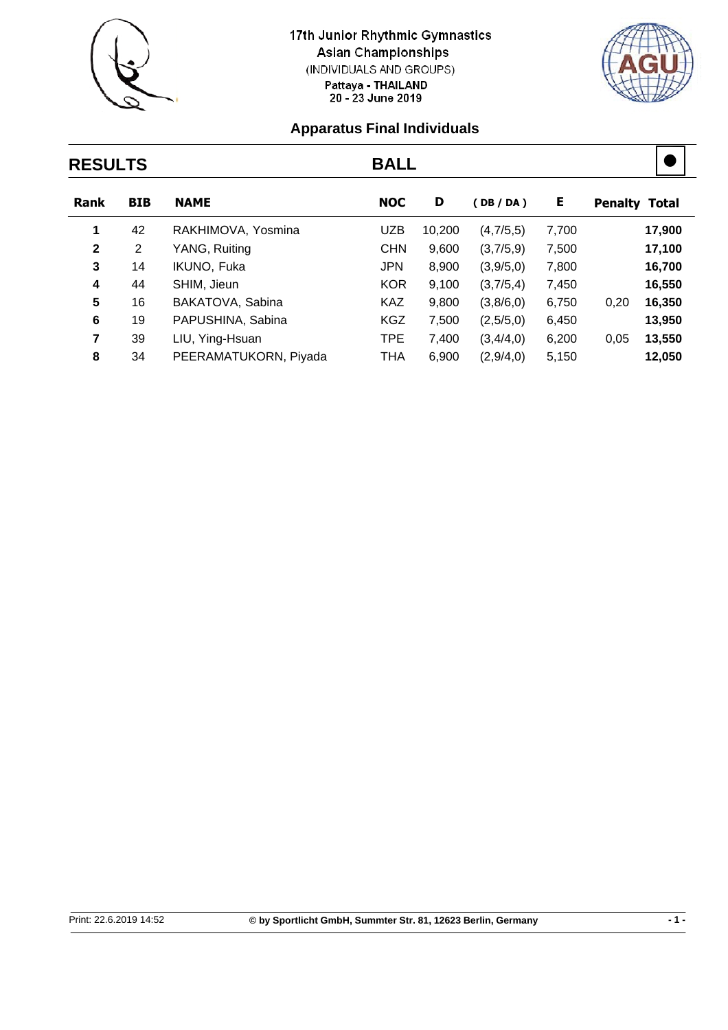



## **RESULTS BALL Rank BIB NAME NOC D ( DB / DA ) E Penalty Total 1** 42 RAKHIMOVA, Yosmina UZB 10,200 (4,7/5,5) 7,700 **17,900 2** 2 YANG, Ruiting CHN 9,600 (3,7/5,9) 7,500 **17,100 3** 14 IKUNO, Fuka JPN 8,900 (3,9/5,0) 7,800 **16,700 4** 44 SHIM, Jieun KOR 9,100 (3,7/5,4) 7,450 **16,550 5** 16 BAKATOVA, Sabina KAZ 9,800 (3,8/6,0) 6,750 0,20 **16,350 6** 19 PAPUSHINA, Sabina KGZ 7,500 (2,5/5,0) 6,450 **13,950 7** 39 LIU, Ying-Hsuan TPE 7,400 (3,4/4,0) 6,200 0,05 **13,550 8** 34 PEERAMATUKORN, Piyada THA 6,900 (2,9/4,0) 5,150 **12,050**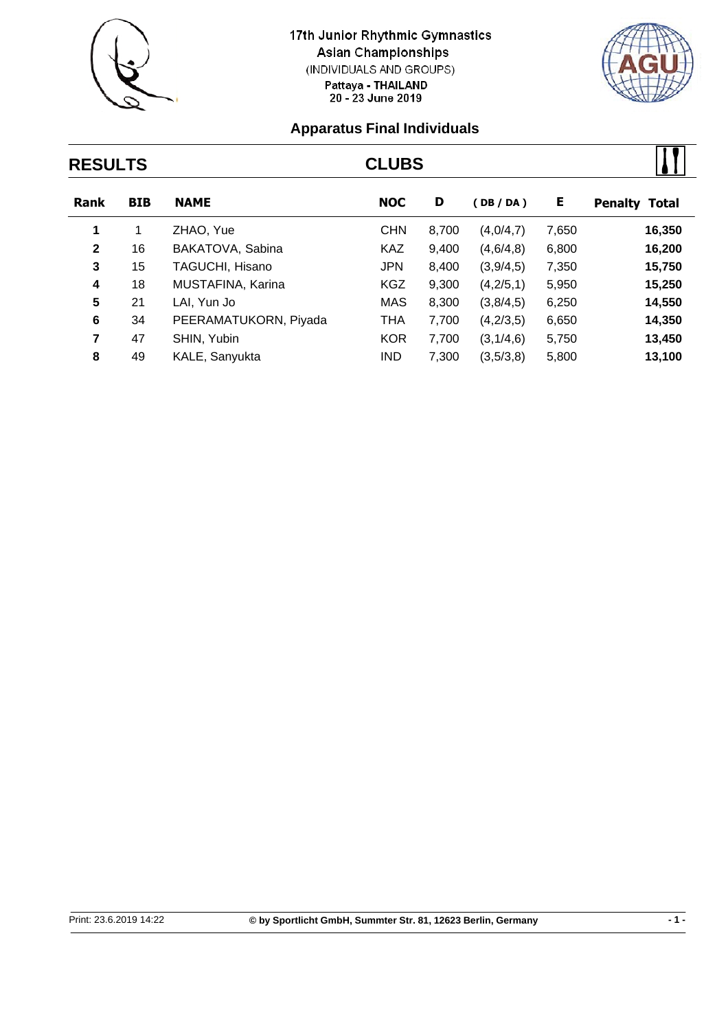



# **RESULTS CLUBS Rank BIB NAME NOC D ( DB / DA ) E Penalty Total 1** 1 ZHAO, Yue CHN 8,700 (4,0/4,7) 7,650 **16,350 2** 16 BAKATOVA, Sabina KAZ 9,400 (4,6/4,8) 6,800 **16,200 3** 15 TAGUCHI, Hisano JPN 8,400 (3,9/4,5) 7,350 **15,750**

| $\overline{4}$ | 18 | MUSTAFINA, Karina     | <b>KGZ</b> | 9.300 | (4,2/5,1)             | 5.950 | 15.250 |
|----------------|----|-----------------------|------------|-------|-----------------------|-------|--------|
| 5.             | 21 | LAI. Yun Jo           | MAS        | 8.300 | (3,8/4,5)             | 6.250 | 14,550 |
| 6              | 34 | PEERAMATUKORN, Piyada | THA        | 7.700 | (4,2/3,5)             | 6.650 | 14,350 |
|                | 47 | SHIN. Yubin           | KOR.       |       | 7,700 (3,1/4,6) 5,750 |       | 13.450 |
| 8              | 49 | KALE, Sanyukta        | IND.       | 7,300 | (3,5/3,8)             | 5,800 | 13,100 |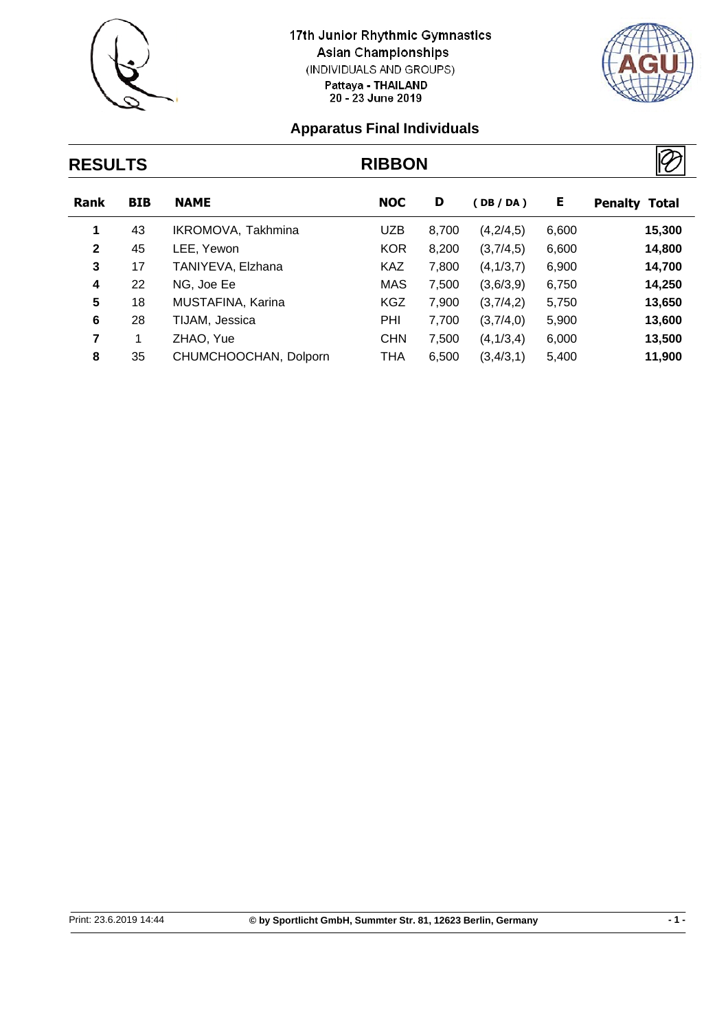



## **RESULTS RIBBON Rank BIB NAME NOC D ( DB / DA ) E Penalty Total 1** 43 IKROMOVA, Takhmina UZB 8,700 (4,2/4,5) 6,600 **15,300 2** 45 LEE, Yewon KOR 8,200 (3,7/4,5) 6,600 **14,800 3** 17 TANIYEVA, Elzhana KAZ 7,800 (4,1/3,7) 6,900 **14,700 4** 22 NG, Joe Ee MAS 7,500 (3,6/3,9) 6,750 **14,250 5** 18 MUSTAFINA, Karina KGZ 7,900 (3,7/4,2) 5,750 **13,650 6** 28 TIJAM, Jessica PHI 7,700 (3,7/4,0) 5,900 **13,600 7** 1 ZHAO, Yue CHN 7,500 (4,1/3,4) 6,000 **13,500 8** 35 CHUMCHOOCHAN, Dolporn THA 6,500 (3,4/3,1) 5,400 **11,900**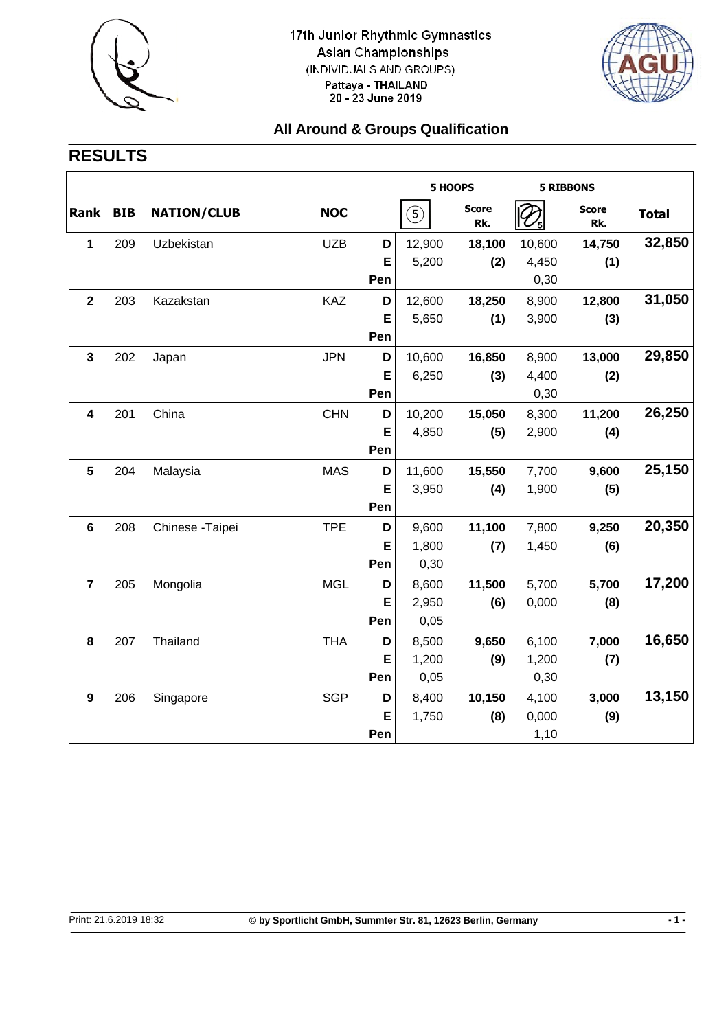



### **All Around & Groups Qualification**

## **RESULTS**

|                         |            |                    |            |     | 5 HOOPS          |                     | <b>5 RIBBONS</b> |                     |              |
|-------------------------|------------|--------------------|------------|-----|------------------|---------------------|------------------|---------------------|--------------|
| Rank                    | <b>BIB</b> | <b>NATION/CLUB</b> | <b>NOC</b> |     | $\left(5\right)$ | <b>Score</b><br>Rk. |                  | <b>Score</b><br>Rk. | <b>Total</b> |
| 1                       | 209        | Uzbekistan         | <b>UZB</b> | D   | 12,900           | 18,100              | 10,600           | 14,750              | 32,850       |
|                         |            |                    |            | E   | 5,200            | (2)                 | 4,450            | (1)                 |              |
|                         |            |                    |            | Pen |                  |                     | 0,30             |                     |              |
| $\mathbf{2}$            | 203        | Kazakstan          | KAZ        | D   | 12,600           | 18,250              | 8,900            | 12,800              | 31,050       |
|                         |            |                    |            | E   | 5,650            | (1)                 | 3,900            | (3)                 |              |
|                         |            |                    |            | Pen |                  |                     |                  |                     |              |
| $\mathbf{3}$            | 202        | Japan              | <b>JPN</b> | D   | 10,600           | 16,850              | 8,900            | 13,000              | 29,850       |
|                         |            |                    |            | E   | 6,250            | (3)                 | 4,400            | (2)                 |              |
|                         |            |                    |            | Pen |                  |                     | 0,30             |                     |              |
| 4                       | 201        | China              | <b>CHN</b> | D   | 10,200           | 15,050              | 8,300            | 11,200              | 26,250       |
|                         |            |                    |            | E   | 4,850            | (5)                 | 2,900            | (4)                 |              |
|                         |            |                    |            | Pen |                  |                     |                  |                     |              |
| 5                       | 204        | Malaysia           | <b>MAS</b> | D   | 11,600           | 15,550              | 7,700            | 9,600               | 25,150       |
|                         |            |                    |            | Е   | 3,950            | (4)                 | 1,900            | (5)                 |              |
|                         |            |                    |            | Pen |                  |                     |                  |                     |              |
| $6\phantom{1}6$         | 208        | Chinese - Taipei   | <b>TPE</b> | D   | 9,600            | 11,100              | 7,800            | 9,250               | 20,350       |
|                         |            |                    |            | E   | 1,800            | (7)                 | 1,450            | (6)                 |              |
|                         |            |                    |            | Pen | 0,30             |                     |                  |                     |              |
| $\overline{\mathbf{7}}$ | 205        | Mongolia           | <b>MGL</b> | D   | 8,600            | 11,500              | 5,700            | 5,700               | 17,200       |
|                         |            |                    |            | E   | 2,950            | (6)                 | 0,000            | (8)                 |              |
|                         |            |                    |            | Pen | 0,05             |                     |                  |                     |              |
| $\pmb{8}$               | 207        | Thailand           | <b>THA</b> | D   | 8,500            | 9,650               | 6,100            | 7,000               | 16,650       |
|                         |            |                    |            | Е   | 1,200            | (9)                 | 1,200            | (7)                 |              |
|                         |            |                    |            | Pen | 0,05             |                     | 0,30             |                     |              |
| 9                       | 206        | Singapore          | <b>SGP</b> | D   | 8,400            | 10,150              | 4,100            | 3,000               | 13,150       |
|                         |            |                    |            | E   | 1,750            | (8)                 | 0,000            | (9)                 |              |
|                         |            |                    |            | Pen |                  |                     | 1,10             |                     |              |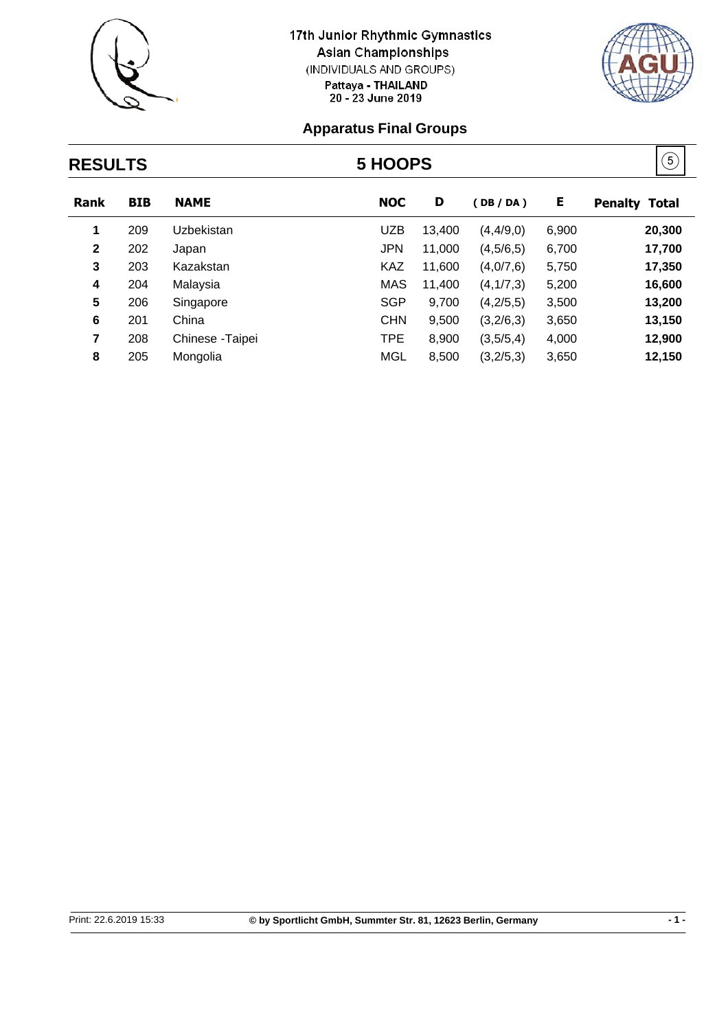



#### **Apparatus Final Groups**

## $(5)$ **RESULTS 5 HOOPS Rank BIB NAME NOC D ( DB / DA ) E Penalty Total 1** 209 Uzbekistan UZB 13,400 (4,4/9,0) 6,900 **20,300 2** 202 Japan JPN 11,000 (4,5/6,5) 6,700 **17,700 3** 203 Kazakstan KAZ 11,600 (4,0/7,6) 5,750 **17,350 4** 204 Malaysia MAS 11,400 (4,1/7,3) 5,200 **16,600**

| 5            | 206   | Singapore            | SGP  | $9,700$ $(4,2/5,5)$ $3,500$ | 13.200 |
|--------------|-------|----------------------|------|-----------------------------|--------|
|              | 6 201 | China -              | CHN. | $9,500$ $(3,2/6,3)$ $3,650$ | 13.150 |
| $\mathbf{7}$ |       | 208 Chinese - Taipei | TPE  | 8,900 (3,5/5,4) 4,000       | 12.900 |
| 8            | 205   | Mongolia             | MGL  | 8,500 (3,2/5,3) 3,650       | 12,150 |